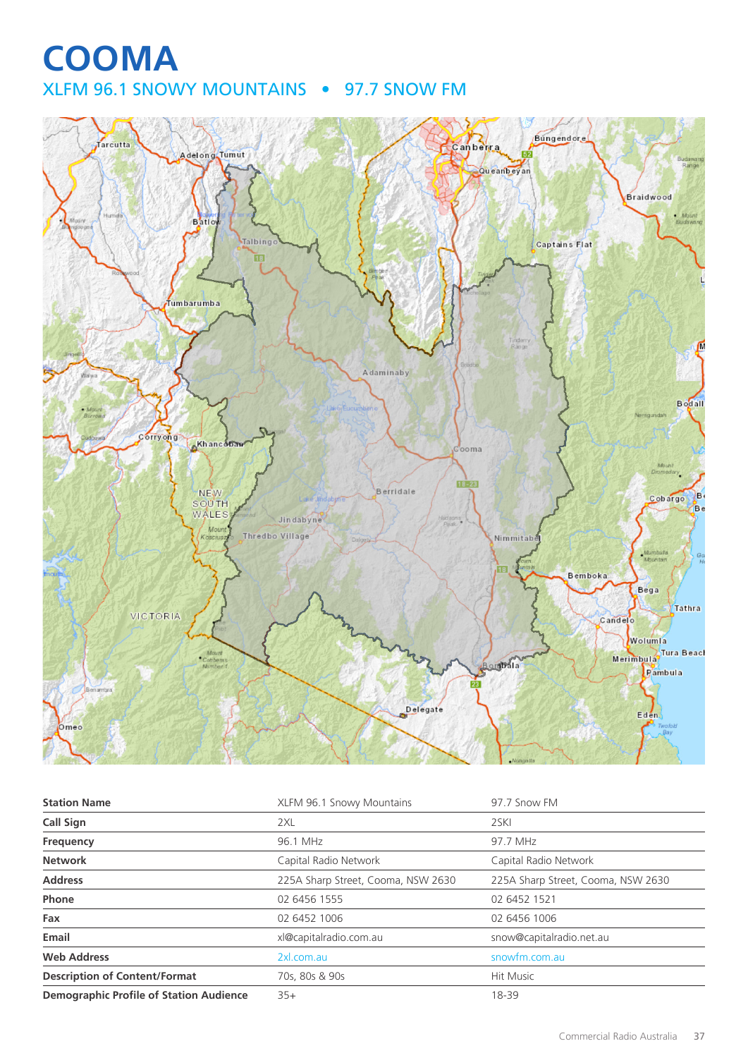# **COOMA** XLFM 96.1 SNOWY MOUNTAINS • 97.7 SNOW FM



| <b>Station Name</b>                            | XLFM 96.1 Snowy Mountains          | 97.7 Snow FM                       |
|------------------------------------------------|------------------------------------|------------------------------------|
| <b>Call Sign</b>                               | 2XL                                | 2SKI                               |
| Frequency                                      | 96.1 MHz                           | 97.7 MHz                           |
| <b>Network</b>                                 | Capital Radio Network              | Capital Radio Network              |
| <b>Address</b>                                 | 225A Sharp Street, Cooma, NSW 2630 | 225A Sharp Street, Cooma, NSW 2630 |
| Phone                                          | 02 6456 1555                       | 02 6452 1521                       |
| Fax                                            | 02 6452 1006                       | 02 6456 1006                       |
| Email                                          | xl@capitalradio.com.au             | snow@capitalradio.net.au           |
| <b>Web Address</b>                             | 2xl.com.au                         | snowfm.com.au                      |
| <b>Description of Content/Format</b>           | 70s, 80s & 90s                     | <b>Hit Music</b>                   |
| <b>Demographic Profile of Station Audience</b> | $35+$                              | 18-39                              |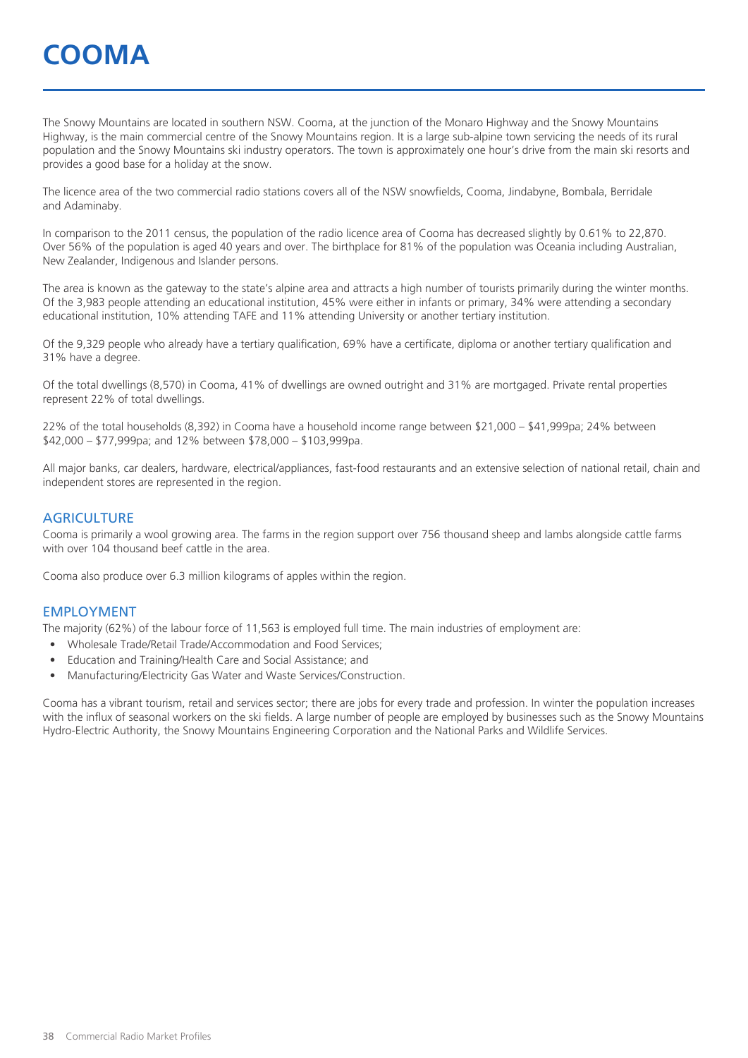# **COOMA**

The Snowy Mountains are located in southern NSW. Cooma, at the junction of the Monaro Highway and the Snowy Mountains Highway, is the main commercial centre of the Snowy Mountains region. It is a large sub-alpine town servicing the needs of its rural population and the Snowy Mountains ski industry operators. The town is approximately one hour's drive from the main ski resorts and provides a good base for a holiday at the snow.

The licence area of the two commercial radio stations covers all of the NSW snowfields, Cooma, Jindabyne, Bombala, Berridale and Adaminaby.

In comparison to the 2011 census, the population of the radio licence area of Cooma has decreased slightly by 0.61% to 22,870. Over 56% of the population is aged 40 years and over. The birthplace for 81% of the population was Oceania including Australian, New Zealander, Indigenous and Islander persons.

The area is known as the gateway to the state's alpine area and attracts a high number of tourists primarily during the winter months. Of the 3,983 people attending an educational institution, 45% were either in infants or primary, 34% were attending a secondary educational institution, 10% attending TAFE and 11% attending University or another tertiary institution.

Of the 9,329 people who already have a tertiary qualification, 69% have a certificate, diploma or another tertiary qualification and 31% have a degree.

Of the total dwellings (8,570) in Cooma, 41% of dwellings are owned outright and 31% are mortgaged. Private rental properties represent 22% of total dwellings.

22% of the total households (8,392) in Cooma have a household income range between \$21,000 – \$41,999pa; 24% between \$42,000 – \$77,999pa; and 12% between \$78,000 – \$103,999pa.

All major banks, car dealers, hardware, electrical/appliances, fast-food restaurants and an extensive selection of national retail, chain and independent stores are represented in the region.

#### **AGRICULTURE**

Cooma is primarily a wool growing area. The farms in the region support over 756 thousand sheep and lambs alongside cattle farms with over 104 thousand beef cattle in the area.

Cooma also produce over 6.3 million kilograms of apples within the region.

#### EMPLOYMENT

The majority (62%) of the labour force of 11,563 is employed full time. The main industries of employment are:

- Wholesale Trade/Retail Trade/Accommodation and Food Services;
- Education and Training/Health Care and Social Assistance; and
- Manufacturing/Electricity Gas Water and Waste Services/Construction.

Cooma has a vibrant tourism, retail and services sector; there are jobs for every trade and profession. In winter the population increases with the influx of seasonal workers on the ski fields. A large number of people are employed by businesses such as the Snowy Mountains Hydro-Electric Authority, the Snowy Mountains Engineering Corporation and the National Parks and Wildlife Services.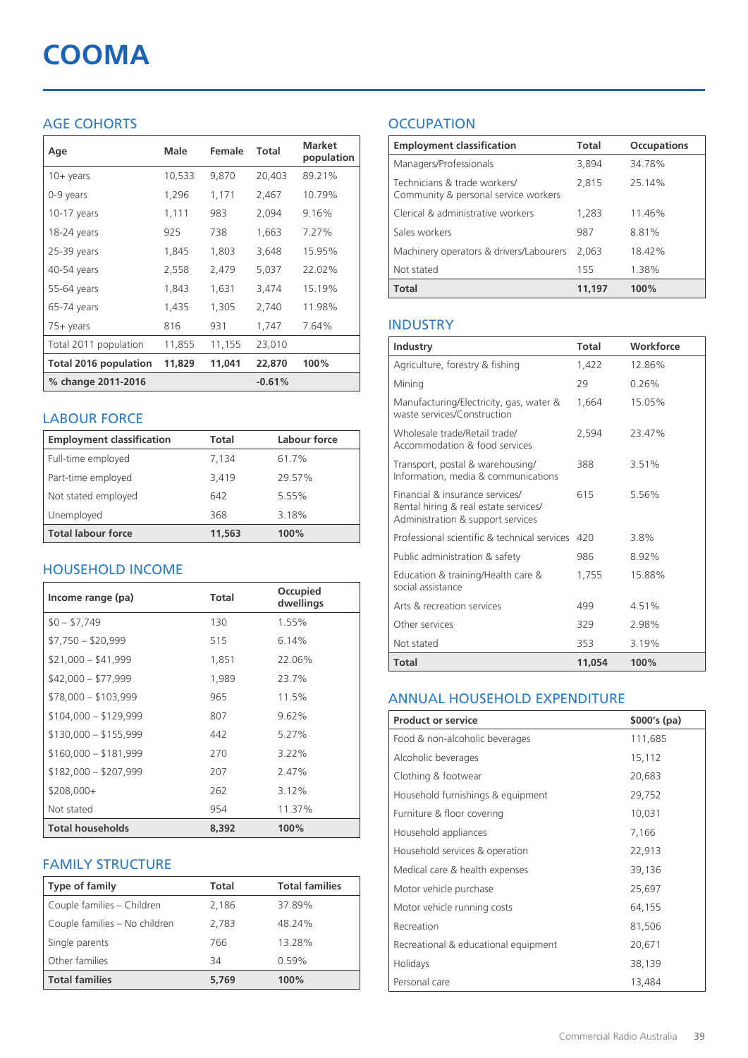# **COOMA**

# AGE COHORTS

| Age                   | Male   | Female | Total    | <b>Market</b><br>population |
|-----------------------|--------|--------|----------|-----------------------------|
| $10 + \gamma$ ears    | 10,533 | 9,870  | 20,403   | 89.21%                      |
| 0-9 years             | 1,296  | 1,171  | 2,467    | 10.79%                      |
| $10-17$ years         | 1,111  | 983    | 2,094    | 9.16%                       |
| 18-24 years           | 925    | 738    | 1,663    | 7.27%                       |
| 25-39 years           | 1,845  | 1,803  | 3,648    | 15.95%                      |
| 40-54 years           | 2,558  | 2,479  | 5,037    | 22.02%                      |
| 55-64 years           | 1,843  | 1,631  | 3,474    | 15.19%                      |
| 65-74 years           | 1,435  | 1,305  | 2,740    | 11.98%                      |
| 75+ years             | 816    | 931    | 1,747    | 7.64%                       |
| Total 2011 population | 11,855 | 11,155 | 23,010   |                             |
| Total 2016 population | 11,829 | 11,041 | 22,870   | 100%                        |
| % change 2011-2016    |        |        | $-0.61%$ |                             |

### LABOUR FORCE

| <b>Employment classification</b> | Total  | Labour force |
|----------------------------------|--------|--------------|
| Full-time employed               | 7,134  | 61.7%        |
| Part-time employed               | 3.419  | 29.57%       |
| Not stated employed              | 642    | 5.55%        |
| Unemployed                       | 368    | 3.18%        |
| <b>Total labour force</b>        | 11,563 | 100%         |

## HOUSEHOLD INCOME

| Income range (pa)       | Total | Occupied<br>dwellings |
|-------------------------|-------|-----------------------|
| $$0 - $7,749$           | 130   | 1.55%                 |
| $$7,750 - $20,999$      | 515   | 6.14%                 |
| $$21,000 - $41,999$     | 1,851 | 22.06%                |
| $$42,000 - $77,999$     | 1,989 | 23.7%                 |
| $$78,000 - $103,999$    | 965   | 11.5%                 |
| $$104,000 - $129,999$   | 807   | 9.62%                 |
| $$130,000 - $155,999$   | 442   | 5.27%                 |
| $$160,000 - $181,999$   | 270   | 3.22%                 |
| $$182,000 - $207,999$   | 207   | 2.47%                 |
| $$208,000+$             | 262   | 3.12%                 |
| Not stated              | 954   | 11.37%                |
| <b>Total households</b> | 8,392 | 100%                  |

## FAMILY STRUCTURE

| <b>Type of family</b>         | <b>Total</b> | <b>Total families</b> |
|-------------------------------|--------------|-----------------------|
| Couple families - Children    | 2,186        | 37.89%                |
| Couple families - No children | 2.783        | 48.24%                |
| Single parents                | 766          | 13.28%                |
| Other families                | 34           | 0.59%                 |
| <b>Total families</b>         | 5.769        | 100%                  |

# **OCCUPATION**

| <b>Employment classification</b>                                     | <b>Total</b> | <b>Occupations</b> |
|----------------------------------------------------------------------|--------------|--------------------|
| Managers/Professionals                                               | 3.894        | 34.78%             |
| Technicians & trade workers/<br>Community & personal service workers | 2.815        | 25.14%             |
| Clerical & administrative workers                                    | 1,283        | 11.46%             |
| Sales workers                                                        | 987          | 8.81%              |
| Machinery operators & drivers/Labourers                              | 2.063        | 18.42%             |
| Not stated                                                           | 155          | 1.38%              |
| <b>Total</b>                                                         | 11,197       | 100%               |

### INDUSTRY

| Industry                                                                                                      | Total  | Workforce |
|---------------------------------------------------------------------------------------------------------------|--------|-----------|
| Agriculture, forestry & fishing                                                                               | 1,422  | 12.86%    |
| Mining                                                                                                        | 29     | 0.26%     |
| Manufacturing/Electricity, gas, water &<br>waste services/Construction                                        | 1,664  | 15.05%    |
| Wholesale trade/Retail trade/<br>Accommodation & food services                                                | 2.594  | 23.47%    |
| Transport, postal & warehousing/<br>Information, media & communications                                       | 388    | 3.51%     |
| Financial & insurance services/<br>Rental hiring & real estate services/<br>Administration & support services | 615    | 5.56%     |
| Professional scientific & technical services                                                                  | 420    | 3.8%      |
| Public administration & safety                                                                                | 986    | 8.92%     |
| Education & training/Health care &<br>social assistance                                                       | 1,755  | 15.88%    |
| Arts & recreation services                                                                                    | 499    | 4.51%     |
| Other services                                                                                                | 329    | 2.98%     |
| Not stated                                                                                                    | 353    | 3.19%     |
| Total                                                                                                         | 11.054 | 100%      |

#### ANNUAL HOUSEHOLD EXPENDITURE

| <b>Product or service</b>            | $$000's$ (pa) |
|--------------------------------------|---------------|
| Food & non-alcoholic beverages       | 111,685       |
| Alcoholic beverages                  | 15,112        |
| Clothing & footwear                  | 20,683        |
| Household furnishings & equipment    | 29,752        |
| Furniture & floor covering           | 10,031        |
| Household appliances                 | 7,166         |
| Household services & operation       | 22,913        |
| Medical care & health expenses       | 39,136        |
| Motor vehicle purchase               | 25,697        |
| Motor vehicle running costs          | 64,155        |
| Recreation                           | 81,506        |
| Recreational & educational equipment | 20,671        |
| Holidays                             | 38,139        |
| Personal care                        | 13,484        |